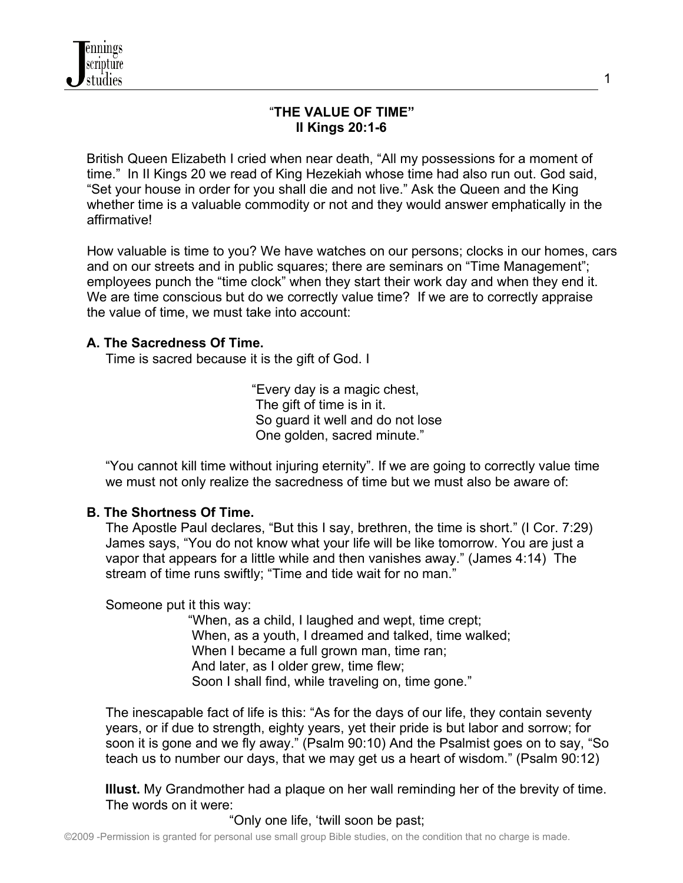## "**THE VALUE OF TIME" II Kings 20:1-6**

British Queen Elizabeth I cried when near death, "All my possessions for a moment of time."In II Kings 20 we read of King Hezekiah whose time had also run out. God said, "Set your house in order for you shall die and not live." Ask the Queen and the King whether time is a valuable commodity or not and they would answer emphatically in the affirmative!

 How valuable is time to you? We have watches on our persons; clocks in our homes, cars and on our streets and in public squares; there are seminars on "Time Management"; employees punch the "time clock" when they start their work day and when they end it. We are time conscious but do we correctly value time? If we are to correctly appraise the value of time, we must take into account:

## **A. The Sacredness Of Time.**

Time is sacred because it is the gift of God. I

 "Every day is a magic chest, The gift of time is in it. So guard it well and do not lose One golden, sacred minute."

 "You cannot kill time without injuring eternity". If we are going to correctly value time we must not only realize the sacredness of time but we must also be aware of:

## **B. The Shortness Of Time.**

 The Apostle Paul declares, "But this I say, brethren, the time is short." (I Cor. 7:29) James says, "You do not know what your life will be like tomorrow. You are just a vapor that appears for a little while and then vanishes away." (James 4:14) The stream of time runs swiftly; "Time and tide wait for no man."

Someone put it this way:

 "When, as a child, I laughed and wept, time crept; When, as a youth, I dreamed and talked, time walked; When I became a full grown man, time ran; And later, as I older grew, time flew; Soon I shall find, while traveling on, time gone."

 The inescapable fact of life is this: "As for the days of our life, they contain seventy years, or if due to strength, eighty years, yet their pride is but labor and sorrow; for soon it is gone and we fly away." (Psalm 90:10) And the Psalmist goes on to say, "So teach us to number our days, that we may get us a heart of wisdom." (Psalm 90:12)

 **Illust.** My Grandmother had a plaque on her wall reminding her of the brevity of time. The words on it were:

"Only one life, 'twill soon be past;